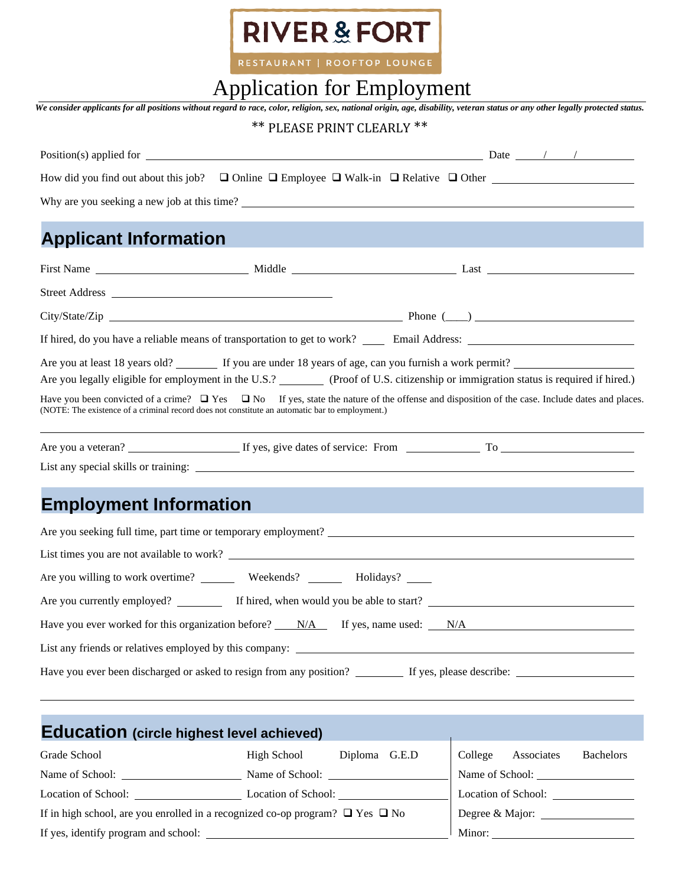

RESTAURANT | ROOFTOP LOUNGE

## Application for Employment

|                                                                                                | r repriedition for Employment |                            | We consider applicants for all positions without regard to race, color, religion, sex, national origin, age, disability, veteran status or any other legally protected status. |  |
|------------------------------------------------------------------------------------------------|-------------------------------|----------------------------|--------------------------------------------------------------------------------------------------------------------------------------------------------------------------------|--|
|                                                                                                |                               | ** PLEASE PRINT CLEARLY ** |                                                                                                                                                                                |  |
|                                                                                                |                               |                            |                                                                                                                                                                                |  |
|                                                                                                |                               |                            | How did you find out about this job? $\Box$ Online $\Box$ Employee $\Box$ Walk-in $\Box$ Relative $\Box$ Other                                                                 |  |
|                                                                                                |                               |                            |                                                                                                                                                                                |  |
|                                                                                                |                               |                            |                                                                                                                                                                                |  |
| <b>Applicant Information</b>                                                                   |                               |                            | $\mathcal{L}^{\text{max}}_{\text{max}}$ and $\mathcal{L}^{\text{max}}_{\text{max}}$ and $\mathcal{L}^{\text{max}}_{\text{max}}$ and $\mathcal{L}^{\text{max}}_{\text{max}}$    |  |
|                                                                                                |                               |                            |                                                                                                                                                                                |  |
| Street Address                                                                                 |                               |                            |                                                                                                                                                                                |  |
|                                                                                                |                               |                            |                                                                                                                                                                                |  |
|                                                                                                |                               |                            |                                                                                                                                                                                |  |
|                                                                                                |                               |                            |                                                                                                                                                                                |  |
|                                                                                                |                               |                            | Are you legally eligible for employment in the U.S.? (Proof of U.S. citizenship or immigration status is required if hired.)                                                   |  |
| (NOTE: The existence of a criminal record does not constitute an automatic bar to employment.) |                               |                            | Have you been convicted of a crime? $\Box$ Yes $\Box$ No If yes, state the nature of the offense and disposition of the case. Include dates and places.                        |  |
|                                                                                                |                               |                            |                                                                                                                                                                                |  |
|                                                                                                |                               |                            |                                                                                                                                                                                |  |
|                                                                                                |                               |                            |                                                                                                                                                                                |  |
| <b>Employment Information</b>                                                                  |                               |                            | <b>Service Service</b>                                                                                                                                                         |  |
|                                                                                                |                               |                            | Are you seeking full time, part time or temporary employment?                                                                                                                  |  |
|                                                                                                |                               |                            |                                                                                                                                                                                |  |
|                                                                                                |                               |                            |                                                                                                                                                                                |  |
| Are you currently employed? If hired, when would you be able to start?                         |                               |                            | <u> 1980 - Jan Stein Berlin, amerikansk politiker (</u>                                                                                                                        |  |
|                                                                                                |                               |                            | Have you ever worked for this organization before? $N/A$ If yes, name used: $N/A$                                                                                              |  |
|                                                                                                |                               |                            |                                                                                                                                                                                |  |
|                                                                                                |                               |                            |                                                                                                                                                                                |  |
|                                                                                                |                               |                            |                                                                                                                                                                                |  |
|                                                                                                |                               |                            |                                                                                                                                                                                |  |
| <b>Education</b> (circle highest level achieved)                                               |                               |                            |                                                                                                                                                                                |  |
| Grade School                                                                                   | <b>High School</b>            | Diploma G.E.D              | <b>Bachelors</b><br>College<br>Associates                                                                                                                                      |  |
| Name of School: Name of School: Name of School:                                                |                               |                            |                                                                                                                                                                                |  |
| Location of School: Location of School: Location of School:                                    |                               |                            |                                                                                                                                                                                |  |
| If in high school, are you enrolled in a recognized co-op program? $\Box$ Yes $\Box$ No        |                               |                            |                                                                                                                                                                                |  |
|                                                                                                |                               |                            |                                                                                                                                                                                |  |